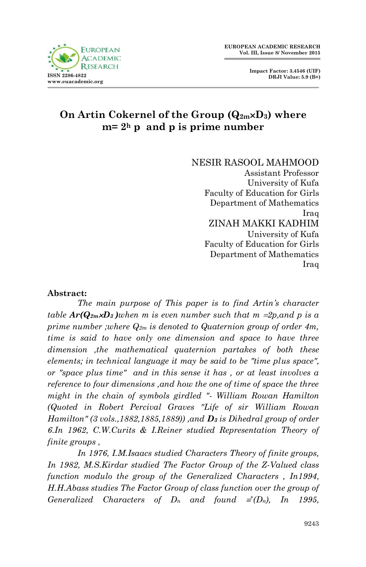

# **On Artin Cokernel of the Group (Q2mD3) where**   $m=2<sup>h</sup>$  **p** and **p** is prime number

NESIR RASOOL MAHMOOD

Assistant Professor University of Kufa Faculty of Education for Girls Department of Mathematics Iraq ZINAH MAKKI KADHIM University of Kufa Faculty of Education for Girls Department of Mathematics Iraq

### **Abstract:**

*The main purpose of This paper is to find Artin's character table*  $Ar(Q_{2m}CD_3)$  *when m is even number such that m = 2p, and p is a prime number ;where Q2m is denoted to Quaternion group of order 4m, time is said to have only one dimension and space to have three dimension ,the mathematical quaternion partakes of both these elements; in technical language it may be said to be "time plus space", or "space plus time" and in this sense it has , or at least involves a reference to four dimensions ,and how the one of time of space the three might in the chain of symbols girdled "- William Rowan Hamilton (Quoted in Robert Percival Graves "Life of sir William Rowan Hamilton" (3 vols.,1882,1885,1889)) ,and D<sup>3</sup> is Dihedral group of order 6.In 1962, C.W.Curits & I.Reiner studied Representation Theory of finite groups ,*

*In 1976, I.M.Isaacs studied Characters Theory of finite groups, In 1982, M.S.Kirdar studied The Factor Group of the Z-Valued class function modulo the group of the Generalized Characters , In1994, H.H.Abass studies The Factor Group of class function over the group of Generalized Characters of*  $D_n$  *and found*  $\equiv (D_n)$ *, In 1995,*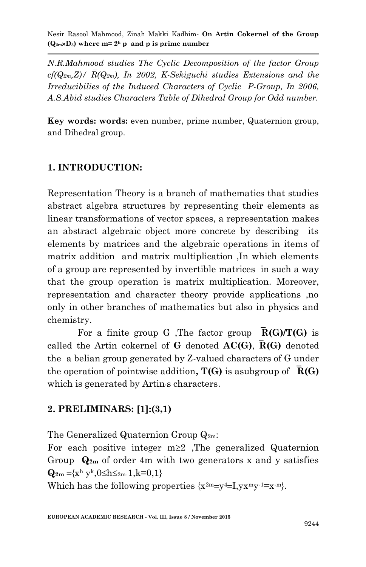*N.R.Mahmood studies The Cyclic Decomposition of the factor Group*   $cf(Q_{2m},Z)/\overline{R}(Q_{2m})$ , In 2002, *K-Sekiguchi studies Extensions and the Irreducibilies of the Induced Characters of Cyclic P-Group, In 2006, A.S.Abid studies Characters Table of Dihedral Group for Odd number.*

**Key words: words:** even number, prime number, Quaternion group, and Dihedral group.

# **1. INTRODUCTION:**

Representation Theory is a branch of mathematics that studies abstract algebra structures by representing their elements as linear transformations of vector spaces, a representation makes an abstract algebraic object more concrete by describing its elements by matrices and the algebraic operations in items of matrix addition and matrix multiplication ,In which elements of a group are represented by invertible matrices in such a way that the group operation is matrix multiplication. Moreover, representation and character theory provide applications ,no only in other branches of mathematics but also in physics and chemistry.

For a finite group G ,The factor group **R(G)/T(G)** is called the Artin cokernel of **G** denoted **AC(G)**,**R(G)** denoted the a belian group generated by Z-valued characters of G under the operation of pointwise addition**, T(G)** is asubgroup of **R(G)** which is generated by Artin<sub>s</sub> characters.

# **2. PRELIMINARS: [1]:(3,1)**

The Generalized Quaternion Group  $Q_{2m}$ :

For each positive integer  $m \geq 2$ , The generalized Quaternion Group **Q2m** of order 4m with two generators x and y satisfies  ${\bf Q}_{2m} = {x^h y^k, 0 \le h \le_{2m} 1, k=0,1}$ 

Which has the following properties  $\{x^{2m}=y^4=I, yx^my^{-1}=x^{-m}\}.$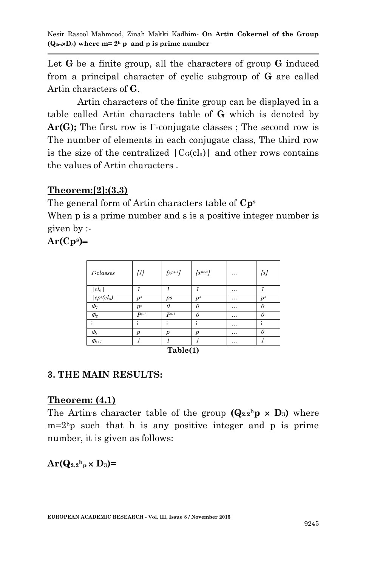Let **G** be a finite group, all the characters of group **G** induced from a principal character of cyclic subgroup of **G** are called Artin characters of **G**.

Artin characters of the finite group can be displayed in a table called Artin characters table of **G** which is denoted by  $Ar(G)$ ; The first row is  $\Gamma$ -conjugate classes; The second row is The number of elements in each conjugate class, The third row is the size of the centralized  $|C_G(cI_a)|$  and other rows contains the values of Artin characters .

# **Theorem:[2]:(3,3)**

The general form of Artin characters table of **Cp<sup>s</sup>** When p is a prime number and s is a positive integer number is given by :-

 $Ar(Cp<sup>s</sup>)=$ 

| $r$ -classes                       | [1]    | $[x^{ps-1}]$   | $[x^{ps-2}]$   |          | [x]      |
|------------------------------------|--------|----------------|----------------|----------|----------|
| $ cl_a $                           |        |                |                | $\cdots$ |          |
| cp <sup>s</sup> (cl <sub>a</sub> ) | $p^s$  | $p_{s}$        | $p^s$          | $\cdots$ | $p^s$    |
| $\Phi$                             | $p^s$  | $\theta$       | $\Omega$       | $\cdots$ | $\theta$ |
| $\Phi_2$                           | $Ps-1$ | $Ps-1$         | $\Omega$       | $\cdots$ | 0        |
|                                    |        |                |                | $\cdots$ |          |
| $\phi_{\rm s}$                     | р      | $\overline{p}$ | $\overline{p}$ | $\cdots$ | $\Omega$ |
| $\Phi_{s+1}$                       |        |                |                |          |          |

**Table(1)**

# **3. THE MAIN RESULTS:**

# **Theorem: (4,1)**

The Artin<sub>'s</sub> character table of the group  $(Q_{2.2}$ <sup>h</sup> $p \times D_3)$  where  $m=2<sup>h</sup>p$  such that h is any positive integer and p is prime number, it is given as follows:

 $\mathbf{Ar}(\mathbf{Q}_{2.2} \mathbf{^h}_{\mathbf{p}} \times \mathbf{D}_3)$ =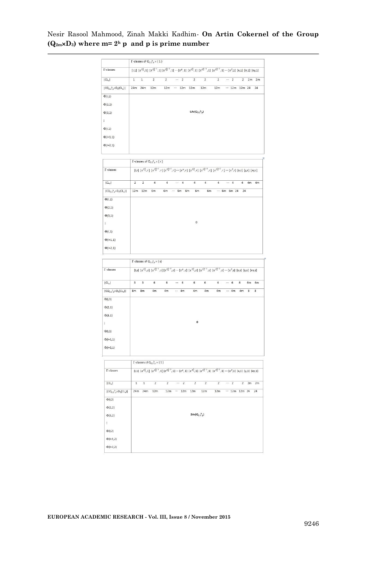|                                                                               | $\Gamma$ -classes of $Q_{2,2}^b$ <sub>p</sub> $\times$ { 1 } |                         |                                                                         |                         |                                                                                                                                                                                                                                                                   |                        |                         |                |                       |                |          |                         |
|-------------------------------------------------------------------------------|--------------------------------------------------------------|-------------------------|-------------------------------------------------------------------------|-------------------------|-------------------------------------------------------------------------------------------------------------------------------------------------------------------------------------------------------------------------------------------------------------------|------------------------|-------------------------|----------------|-----------------------|----------------|----------|-------------------------|
| $\Gamma$ -classes                                                             |                                                              |                         |                                                                         |                         | $[1,1]\ [x^{2_{s}^{n}},1]\ [x^{2_{s}^{n-1}},1]\ [x^{2_{s}^{n-2}},1]\cdots[x^{p},1]\ [x^{2_{s}^{n}},1]\ [x^{2_{s}^{n-1}},1]\ [x^{2_{s}^{n-2}},1]\cdots[x^{2},1]\ [x,1]\ [x,1]\ [x,y,1]$                                                                            |                        |                         |                |                       |                |          |                         |
| $ CL_n $                                                                      | $\overline{1}$                                               | $1$                     | $\overline{2}$                                                          |                         | 2 - 2 2 2 2 - 2 2 2 2 m                                                                                                                                                                                                                                           |                        |                         |                |                       |                |          |                         |
| $  \mathsf{CQ}_{2.2}{}^{\mathrm{h}}{}_p \times \mathsf{D}_3(\mathsf{CL}_a)  $ | 24m 24m 12m                                                  |                         |                                                                         |                         | 12m  12m 12m 12m                                                                                                                                                                                                                                                  |                        |                         |                | 12m --- 12m 12m 24 24 |                |          |                         |
| $\Phi(1, 1)$                                                                  |                                                              |                         |                                                                         |                         |                                                                                                                                                                                                                                                                   |                        |                         |                |                       |                |          |                         |
| $\Phi(2,1)$                                                                   |                                                              |                         |                                                                         |                         |                                                                                                                                                                                                                                                                   |                        |                         |                |                       |                |          |                         |
| $\Phi(3,1)$                                                                   |                                                              |                         |                                                                         |                         |                                                                                                                                                                                                                                                                   | $6Ar(Q_{2.2}h_p)$      |                         |                |                       |                |          |                         |
| ÷                                                                             |                                                              |                         |                                                                         |                         |                                                                                                                                                                                                                                                                   |                        |                         |                |                       |                |          |                         |
| $\Phi(1,1)$                                                                   |                                                              |                         |                                                                         |                         |                                                                                                                                                                                                                                                                   |                        |                         |                |                       |                |          |                         |
| $\Phi(1+1,1)$                                                                 |                                                              |                         |                                                                         |                         |                                                                                                                                                                                                                                                                   |                        |                         |                |                       |                |          |                         |
| $\Phi(1+2,1)$                                                                 |                                                              |                         |                                                                         |                         |                                                                                                                                                                                                                                                                   |                        |                         |                |                       |                |          |                         |
|                                                                               |                                                              |                         |                                                                         |                         |                                                                                                                                                                                                                                                                   |                        |                         |                |                       |                |          |                         |
|                                                                               |                                                              |                         | $\Gamma$ -classes of $Q_{2,2}$ <sup>h</sup> <sub>p</sub> $\times$ { r } |                         |                                                                                                                                                                                                                                                                   |                        |                         |                |                       |                |          |                         |
| <b>T-classes</b>                                                              |                                                              |                         |                                                                         |                         | $[1,r]\ [x^{2^3_p},r]\ [x^{2^{3-1}_p},r]\ [x^{2^{3-2}_p},r]\cdots [x^p,r]\ [x^{2^3_p},r]\ [x^{2^{3-1}_2},r]\ [x^{2^{3-2}_2},r]\cdots [x^2,r]\ [x,r]\ [x,r]\ [x,r]$                                                                                                |                        |                         |                |                       |                |          |                         |
| CL <sub>2</sub>                                                               | $\overline{2}$                                               | $\overline{ }$          | $\overline{4}$                                                          | $\overline{a}$          | $\cdots$ 4                                                                                                                                                                                                                                                        | $\overline{4}$         | $\overline{4}$          | $\overline{4}$ | $\cdots$ 4            | $\overline{4}$ |          | $4m$ $4m$               |
| $ CQ_{2,2}{}^{b}{}_{p} \times D_{3}(CL_{a}) $                                 | 12m 12m 6m                                                   |                         |                                                                         |                         |                                                                                                                                                                                                                                                                   |                        | 6m                      |                |                       |                |          |                         |
|                                                                               |                                                              |                         |                                                                         |                         | 6m  6m 6m 6m                                                                                                                                                                                                                                                      |                        |                         |                | $\cdots$ 6m 6m 24 24  |                |          |                         |
| $\Phi(1,1)$                                                                   |                                                              |                         |                                                                         |                         |                                                                                                                                                                                                                                                                   |                        |                         |                |                       |                |          |                         |
| $\Phi(2,1)$                                                                   |                                                              |                         |                                                                         |                         |                                                                                                                                                                                                                                                                   |                        |                         |                |                       |                |          |                         |
| $\Phi(3,1)$                                                                   |                                                              |                         |                                                                         |                         |                                                                                                                                                                                                                                                                   | $\pmb{0}$              |                         |                |                       |                |          |                         |
| ŧ.                                                                            |                                                              |                         |                                                                         |                         |                                                                                                                                                                                                                                                                   |                        |                         |                |                       |                |          |                         |
| $\Phi(I,1)$                                                                   |                                                              |                         |                                                                         |                         |                                                                                                                                                                                                                                                                   |                        |                         |                |                       |                |          |                         |
| $\Phi(1+1,1)$                                                                 |                                                              |                         |                                                                         |                         |                                                                                                                                                                                                                                                                   |                        |                         |                |                       |                |          |                         |
| $\Phi(i+2,1)$                                                                 |                                                              |                         |                                                                         |                         |                                                                                                                                                                                                                                                                   |                        |                         |                |                       |                |          |                         |
|                                                                               | $\Gamma$ -classes of $Q_{2,2}{}^{h}{}_{p} \times \{$ \$)     |                         |                                                                         |                         |                                                                                                                                                                                                                                                                   |                        |                         |                |                       |                |          |                         |
| $\Gamma$ -classes                                                             |                                                              |                         |                                                                         |                         | $[1,5] \; \; [x^{2\frac{5}{p}},s] \; \; [x^{2\frac{5}{p}-1},s] \; [x^{2\frac{5}{p}-2},s] \; \cdots \; [x^{p},s] \; \; [x^{2\frac{3}{2}},s] \; \; [x^{2\frac{5}{2}-1},s] \; \; [x^{2\frac{5}{2}-2},s] \; \cdots \; [x^{2},s] \; \; [x,s] \; \; [y,s] \; \; [xy,s]$ |                        |                         |                |                       |                |          |                         |
|                                                                               |                                                              |                         |                                                                         |                         |                                                                                                                                                                                                                                                                   |                        |                         |                |                       |                |          |                         |
| $ CL_{a} $                                                                    | $\overline{3}$                                               | $\overline{\mathbf{3}}$ | 6                                                                       | 6                       | $6\overline{6}$<br>m                                                                                                                                                                                                                                              | 6                      | 6                       | 6              | $\cdots$ 6            | $\overline{6}$ | 6m       | 6m                      |
| $ CQ_{2,2}^{\,h} \times D_{3}(CL_{a}) $                                       | 8m                                                           | 8m                      | 4 <sub>m</sub>                                                          | 4m                      | $\cdots$ 4m                                                                                                                                                                                                                                                       | 4 <sub>m</sub>         | 4m                      | 4 <sub>m</sub> | $\cdots$ 4m           | 4m             | $\bf{8}$ | $\overline{\mathbf{8}}$ |
| $\Phi(1,1)$                                                                   |                                                              |                         |                                                                         |                         |                                                                                                                                                                                                                                                                   |                        |                         |                |                       |                |          |                         |
| $\Phi(2,1)$                                                                   |                                                              |                         |                                                                         |                         |                                                                                                                                                                                                                                                                   |                        |                         |                |                       |                |          |                         |
| $\Phi(3,1)$                                                                   |                                                              |                         |                                                                         |                         |                                                                                                                                                                                                                                                                   |                        |                         |                |                       |                |          |                         |
| ÷.                                                                            |                                                              |                         |                                                                         |                         |                                                                                                                                                                                                                                                                   | $\ddot{\mathbf{0}}$    |                         |                |                       |                |          |                         |
| $\Phi(1,1)$                                                                   |                                                              |                         |                                                                         |                         |                                                                                                                                                                                                                                                                   |                        |                         |                |                       |                |          |                         |
| $\Phi(+1,1)$                                                                  |                                                              |                         |                                                                         |                         |                                                                                                                                                                                                                                                                   |                        |                         |                |                       |                |          |                         |
| $\Phi(1+2,1)$                                                                 |                                                              |                         |                                                                         |                         |                                                                                                                                                                                                                                                                   |                        |                         |                |                       |                |          |                         |
|                                                                               |                                                              |                         |                                                                         |                         |                                                                                                                                                                                                                                                                   |                        |                         |                |                       |                |          |                         |
|                                                                               |                                                              |                         | $\Gamma$ -classes of $Q_{2,2,p}$ × {1}                                  |                         |                                                                                                                                                                                                                                                                   |                        |                         |                |                       |                |          |                         |
| <b>T-classes</b>                                                              |                                                              |                         |                                                                         |                         | $[0,1]\ [x^{2^h_p},1]\ [x^{2^{h-1}_p},1]\ [x^{2^{h-2}_p},1]\cdots [x^p,1]\ [x^{2^h_2},1]\ [x^{2^{h-1}_2},1]\ [x^{2^{h-2}_2},1]\cdots [x^2,1]\ [x,1]\ [y,1]\ [xy,1]$                                                                                               |                        |                         |                |                       |                |          |                         |
| $ CL_{a} $                                                                    | $\overline{1}$                                               | $\overline{1}$          | $\overline{2}$                                                          | $\overline{\mathbf{2}}$ | $\cdots$ 2                                                                                                                                                                                                                                                        | $\overline{2}$         | $\overline{\mathbf{2}}$ | $\overline{2}$ | $\cdots$ 2            | $\overline{2}$ |          | $2m$ $2m$               |
| $ CQ_{2,2}{}^{b}{}_{p} \times D_{3}(CL_{a}) $                                 |                                                              |                         | 24m 24m 12m                                                             |                         | $12m \cdots 12m$ 12m                                                                                                                                                                                                                                              |                        | 12m                     | 12m            | $\cdots$ 12m 12m 24   |                |          | $\overline{24}$         |
| $\Phi(1,2)$                                                                   |                                                              |                         |                                                                         |                         |                                                                                                                                                                                                                                                                   |                        |                         |                |                       |                |          |                         |
| $\Phi(2,2)$                                                                   |                                                              |                         |                                                                         |                         |                                                                                                                                                                                                                                                                   |                        |                         |                |                       |                |          |                         |
| $\Phi(3,2)$                                                                   |                                                              |                         |                                                                         |                         |                                                                                                                                                                                                                                                                   | $2Ar(Q_{2,2}^{\ h} p)$ |                         |                |                       |                |          |                         |
| ŧ.                                                                            |                                                              |                         |                                                                         |                         |                                                                                                                                                                                                                                                                   |                        |                         |                |                       |                |          |                         |
| $\Phi(1,2)$                                                                   |                                                              |                         |                                                                         |                         |                                                                                                                                                                                                                                                                   |                        |                         |                |                       |                |          |                         |
| $\Phi$ (1+1,2)                                                                |                                                              |                         |                                                                         |                         |                                                                                                                                                                                                                                                                   |                        |                         |                |                       |                |          |                         |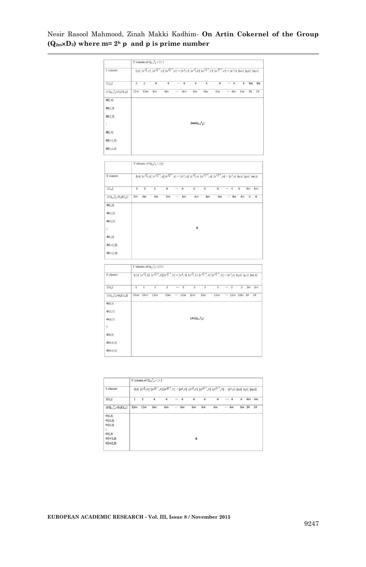|                                     |                         |                         | $\Gamma$ -classes of $Q_{2,2,0}$ $\times$ {r} |                |          |    |                    |                |                                                                                                                                                                                 |            |                |    |    |
|-------------------------------------|-------------------------|-------------------------|-----------------------------------------------|----------------|----------|----|--------------------|----------------|---------------------------------------------------------------------------------------------------------------------------------------------------------------------------------|------------|----------------|----|----|
| <b>T-classes</b>                    |                         |                         |                                               |                |          |    |                    |                | $[ J_1  \ [x^{2^h_p},r] \ [x^{2^{h-1}_p},r] \ [x^{2^{h-2}_p},r] \cdots [x^p,r] \ [x^{2^h_2},r] \ [x^{2^{h-1}_2},r] \ [x^{2^{h-2}_2},r] \cdots [x^2,r] \ [x,r] \ [y,r] \ [xy,r]$ |            |                |    |    |
| CL <sub>a</sub>                     | $\overline{\mathbf{z}}$ | $\overline{\mathbf{z}}$ | $\ddot{a}$                                    | $\overline{a}$ |          | 4  | $\overline{4}$     | $\overline{4}$ | $\overline{4}$                                                                                                                                                                  | $\cdots$ 4 | $\overline{4}$ | 4m | 4m |
| $ CQ_{2,2}^{\ h} \times D_3(CL_8) $ | 12m                     | 12m                     | 6m                                            | 6 <sub>m</sub> | $\cdots$ | 6m | 6m                 | 6m             | 6m                                                                                                                                                                              | <br>6m     | 6m             | 24 | 24 |
| $\Phi(1,2)$                         |                         |                         |                                               |                |          |    |                    |                |                                                                                                                                                                                 |            |                |    |    |
| $\Phi(2,2)$                         |                         |                         |                                               |                |          |    |                    |                |                                                                                                                                                                                 |            |                |    |    |
| $\Phi(3,2)$                         |                         |                         |                                               |                |          |    |                    |                |                                                                                                                                                                                 |            |                |    |    |
|                                     |                         |                         |                                               |                |          |    | $2Ar(Q_{2,2}^{h})$ |                |                                                                                                                                                                                 |            |                |    |    |
|                                     |                         |                         |                                               |                |          |    |                    |                |                                                                                                                                                                                 |            |                |    |    |
|                                     |                         |                         |                                               |                |          |    |                    |                |                                                                                                                                                                                 |            |                |    |    |
| ŕ.<br>$\Phi(1,2)$<br>$\Phi$ (1+1,2) |                         |                         |                                               |                |          |    |                    |                |                                                                                                                                                                                 |            |                |    |    |

| 3  | 3  | 6  | 6  | $\cdots$                                            | 6  | 6                             | 6  | 6  | 3331 | 6  | 6        | 6m | 6m                                                                                                                                                                        |
|----|----|----|----|-----------------------------------------------------|----|-------------------------------|----|----|------|----|----------|----|---------------------------------------------------------------------------------------------------------------------------------------------------------------------------|
| 8m | 8m | 4m | 4m |                                                     | 4m | 4m                            | 4m | 4m |      | 4m | 4m       | 8  | $^{\rm 8}$                                                                                                                                                                |
|    |    |    |    |                                                     |    |                               |    |    |      |    |          |    |                                                                                                                                                                           |
|    |    |    |    |                                                     |    |                               |    |    |      |    |          |    |                                                                                                                                                                           |
|    |    |    |    |                                                     |    |                               |    |    |      |    |          |    |                                                                                                                                                                           |
|    |    |    |    |                                                     |    | $\overset{\cdot}{\mathbf{0}}$ |    |    |      |    |          |    |                                                                                                                                                                           |
|    |    |    |    |                                                     |    |                               |    |    |      |    |          |    |                                                                                                                                                                           |
|    |    |    |    |                                                     |    |                               |    |    |      |    |          |    |                                                                                                                                                                           |
|    |    |    |    |                                                     |    |                               |    |    |      |    |          |    |                                                                                                                                                                           |
|    |    |    |    | $\tau$ <i>remains or ether</i> $0 \leq \tau \leq 1$ |    |                               |    |    |      |    | $\cdots$ |    | $[1,s]\ [x^{2^h_p},s]\ [x^{2^{h-1}_p},s]\ [x^{2^{h-2}_p},s]\ \cdots\ [x^p,s]\ [x^{2^h_1},s]\ [x^{2^{h-1}_1},s]\ [x^{2^{h-2}_1},s]\ \cdots\ [x^2,s]\ [x,s]\ [y,s]\ [xy,s]$ |

|                                     |              |                | $\Gamma$ -classes of $Q_{2,2}^{\dagger} \times \{1\}$ |                         |          |                |                                        |                                                                                                                                                                     |                         |          |            |                |    |    |
|-------------------------------------|--------------|----------------|-------------------------------------------------------|-------------------------|----------|----------------|----------------------------------------|---------------------------------------------------------------------------------------------------------------------------------------------------------------------|-------------------------|----------|------------|----------------|----|----|
| <b>T-classes</b>                    |              |                |                                                       |                         |          |                |                                        | $[0,1]\ [x^{2^h_p},1]\ [x^{2^{h-1}_p},1]\ [x^{2^{h-2}_p},1]\cdots [x^p,1]\ [x^{2^h_1},1]\ [x^{2^{h-2}_1},1]\ [x^{2^{h-2}_1},1]\cdots [x^2,1]\ [x,1]\ [y,1]\ [xy,1]$ |                         |          |            |                |    |    |
| CL <sub>a</sub>                     | $\mathbf{1}$ | $\overline{1}$ | $\overline{2}$                                        | $\overline{\mathbf{z}}$ | $\cdots$ | $\overline{2}$ | $\overline{2}$                         | $\overline{\mathbf{z}}$                                                                                                                                             | $\overline{\mathbf{z}}$ |          | $\cdots$ 2 | $\overline{2}$ | 2m | 2m |
| $ CQ_{2,2}^{\ b} \times D_3(CL_a) $ | 24m          | 24m            | 12m                                                   | 12m                     |          | 12m            | 12m                                    | 12m                                                                                                                                                                 | 12m                     | $\cdots$ | 12m        | 12m 24         |    | 24 |
| $\Phi(1,3)$                         |              |                |                                                       |                         |          |                |                                        |                                                                                                                                                                     |                         |          |            |                |    |    |
| $\Phi(2,3)$                         |              |                |                                                       |                         |          |                |                                        |                                                                                                                                                                     |                         |          |            |                |    |    |
| $\Phi(3,3)$                         |              |                |                                                       |                         |          |                | $3Ar(Q2,2$ <sup>h</sup> <sub>a</sub> ) |                                                                                                                                                                     |                         |          |            |                |    |    |
| $\vdots$                            |              |                |                                                       |                         |          |                |                                        |                                                                                                                                                                     |                         |          |            |                |    |    |
| $\Phi(1,3)$                         |              |                |                                                       |                         |          |                |                                        |                                                                                                                                                                     |                         |          |            |                |    |    |
| $\Phi(+1,3)$                        |              |                |                                                       |                         |          |                |                                        |                                                                                                                                                                     |                         |          |            |                |    |    |
| $\Phi(1+2,3)$                       |              |                |                                                       |                         |          |                |                                        |                                                                                                                                                                     |                         |          |            |                |    |    |

|                                                                                        |         |                | $\Gamma$ -classes of $Q_{2,2}$ <sup>h</sup> <sub>o</sub> $\times$ {r} |    |             |              |    |                                                                                                                                                                                         |             |   |          |                |
|----------------------------------------------------------------------------------------|---------|----------------|-----------------------------------------------------------------------|----|-------------|--------------|----|-----------------------------------------------------------------------------------------------------------------------------------------------------------------------------------------|-------------|---|----------|----------------|
| l'-classes                                                                             |         |                |                                                                       |    |             |              |    | $[1,r] \ [x^{2_p^h},r] \ [x^{2_p^{h-1}},r] \ [x^{2_p^{h-2}},r] \cdots [x^p,r] \ [x^{2_2^h},r] \ [x^{2_2^{h-1}},r] \ [x^{2_2^{h-2}},r] \cdots [x^2,r] \ [x,r] \ [x,r] \ [x,r] \ [x,y,r]$ |             |   |          |                |
| CL <sub>a</sub>                                                                        | 2       | $\overline{2}$ | 4                                                                     | 4  | <br>4       | 4            | 4  | 4                                                                                                                                                                                       | 4           | 4 | 4m       | 4 <sub>m</sub> |
| $ CQ_{2,2}^n P_X C L_n $                                                               | 12m 12m |                | 6m                                                                    | 6m | $\cdots$ 6m | 6m           | 6m | 6m                                                                                                                                                                                      | $\cdots$ 6m |   | 6m 24 24 |                |
| $\Phi(1,3)$<br>$\Phi(2,3)$<br>$\Phi(3,3)$<br>$\Phi(1,3)$<br>$\Phi(+1,3)$<br>$Φ(1+2,3)$ |         |                |                                                                       |    |             | $\mathbf{0}$ |    |                                                                                                                                                                                         |             |   |          |                |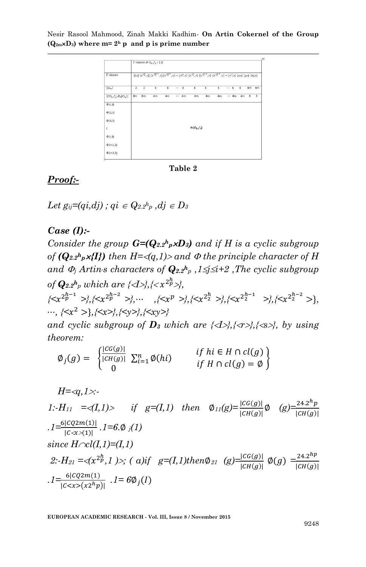

**Table 2**

### *Proof:-*

*Let*  $g_{ij} = (qi, di)$ ;  $qi \in Q_{2.2}h_p$ ,  $di \in D_3$ 

### *Case (I):-*

*Consider the group*  $G=(Q_{2.2}^h p \times D_3)$  *and if H is a cyclic subgroup of* ( $Q_{2,2}$ <sup>*h*</sup> $p$ *x***{I})** *then*  $H = \langle q,1 \rangle$ *> and*  $\Phi$  *the principle character of*  $H$ *and*  $\Phi_j$  *Artin<sub>s</sub> characters of*  $Q_{2,2}$ <sup>*h*</sup><sub>*p*</sub>,  $1 \le j \le i+2$  *,The cyclic subgroup of*  $\mathbf{Q}_{2.2}$ *h<sub>p</sub> which are {<I>},{*< $x^{2p}$ *>},* 

 $\{ \langle x^{2p-1}_{p} \rangle \}$ ,  $\{ \langle x^{2p-2}_{p} \rangle \}$ ,  $\cdots$ ,  $\{ \langle x^{p} \rangle \}$ ,  $\{ \langle x^{2^{h}_{2}} \rangle \}$ ,  $\{ \langle x^{2^{h-1}_{2}} \rangle \}$ ,  $\{ \langle x^{2^{h-2}_{2}} \rangle \}$ , *, {<* +*,{<x>},{<y>},{<xy>}*

*and cyclic subgroup of*  $D_3$  *<i>which are {* $\langle I \rangle$ },  $\langle \langle I \rangle$ },  $\langle \langle I \rangle$ },  $\langle \langle I \rangle$ }, by *using theorem:*

$$
\emptyset_j(g) = \begin{cases}\n\frac{|C G(g)|}{|CH(g)|} \sum_{i=1}^n \emptyset(hi) & \text{if } h \in H \cap cl(g) \\
0 & \text{if } H \cap cl(g) = \emptyset\n\end{cases}
$$

 *H=q,1:-* 

1:-H<sub>11</sub> =  $\langle I, 1 \rangle$  if g=(I,1) then  $\phi_{11}(g) = \frac{|cG(g)|}{|CH(g)|} \phi$  (g)  $\frac{24.2^h}{|CH(g)|}$  $|CH(g)|$  $I = \frac{6|CQ2m(1)|}{|C \ll x \times (1)|}$ ,  $I = 6.0$  *j*(1)  $since H \cap cl(I,1) = (I,1)$  $2:$ *H*<sub>21</sub> =  $\langle (x^{2p}, 1) \rangle$ ; (a)if  $g=(I,1)$ then $\emptyset$ <sub>21</sub> (g)= $\frac{|CG(g)|}{|CH(g)|}$  $\emptyset(g) = \frac{24.2^h}{|CH(g)|}$  $|CH(g)|$  $I = \frac{6|CQ2m(1)}{|C < x>(x2^h p)|}$ .  $I = 6\emptyset_j(I)$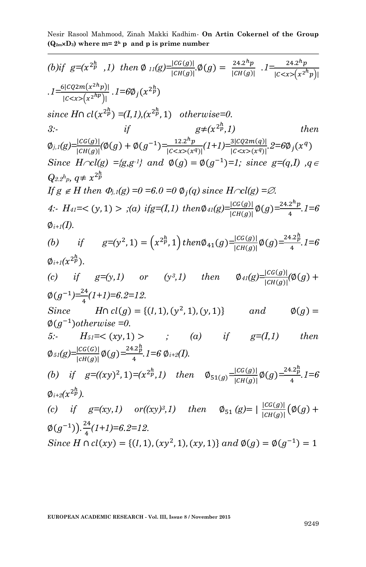Nesir Rasool Mahmood, Zinah Makki Kadhim*-* **On Artin Cokernel of the Group**  $(Q_{2m} \times D_3)$  where  $m = 2<sup>h</sup>$  p and p is prime number

| (b)if $g=(x^{2p}, 1)$ then $\emptyset$ $_{11}(g) = \frac{ CG(g) }{ CH(g) }$ , $\emptyset(g) = \frac{24 \cdot 2^{n} p}{ CH(g) }$ . $1 = \frac{24 \cdot 2^{n} p}{ C \le x > (x^{2n} p) }$                  |                                      |                   |  |      |
|----------------------------------------------------------------------------------------------------------------------------------------------------------------------------------------------------------|--------------------------------------|-------------------|--|------|
| .1= $\frac{6 cQ2m(x^{2h}p) }{ c\langle x\rangle(x^{2h}p) }$ .1= $6\emptyset_j(x^{2h}p)$                                                                                                                  |                                      |                   |  |      |
| since $H \cap cl(x^{2p} \cap \negthinspace = (I,1),(x^{2p},1)$ otherwise=0.                                                                                                                              |                                      |                   |  |      |
| 3:                                                                                                                                                                                                       | if                                   | $g\neq(x^{2p},1)$ |  | then |
| $\varphi_{j,1}(g) = \frac{ cG(g) }{ cH(g) } (\varphi(g) + \varphi(g^{-1}) = \frac{12.2^h p}{ c \langle x \rangle(x^q) } (1+1) = \frac{3 cQ2m(g) }{ c \langle x \rangle(x^q) } \cdot 2 = 6\varphi_j(x^q)$ |                                      |                   |  |      |
| Since $H \cap cl(g) = \{g, g^{-1}\}\$ and $\phi(g) = \phi(g^{-1}) = 1$ ; since $g = (q, I)$ , $q \in$                                                                                                    |                                      |                   |  |      |
| $Q_{2.2}$ <sup>h</sup> <sub>p</sub> , $q \neq x^{2p}$                                                                                                                                                    |                                      |                   |  |      |
| If $g \notin H$ then $\Phi_{j,l}(g) = 0 = 6.0 = 0$ $\Phi_j(q)$ since $H \cap cl(g) = \emptyset$ .                                                                                                        |                                      |                   |  |      |
| 4: $H_{41} = \langle (y, 1) \rangle$ ;(a) if $g = (I, 1)$ then $\phi_{41}(g) = \frac{ CG(g) }{ CH(g) } \phi(g) = \frac{24.2^n p}{4}$ . $1 = 6$                                                           |                                      |                   |  |      |
| $\emptyset$ i+1(I).                                                                                                                                                                                      |                                      |                   |  |      |
| (b) if $g=(y^2, 1) = (x^{2p}, 1)$ then $\emptyset_{41}(g) = \frac{ CG(g) }{ CH(g) } \emptyset(g) = \frac{24.2p}{4}.1 = 6$                                                                                |                                      |                   |  |      |
| $\emptyset_{i+1}(x^{2p})$ .                                                                                                                                                                              |                                      |                   |  |      |
| (c) if $g=(y,1)$ or $(y^3,1)$ then $\phi_{41}(g) = \frac{ CG(g) }{ CH(g) } (\phi(g) +$                                                                                                                   |                                      |                   |  |      |
| $\phi(g^{-1}) = \frac{24}{4}(1+1) = 6.2 = 12.$                                                                                                                                                           |                                      |                   |  |      |
| Since $H \cap cl(g) = \{(I, 1), (y^2, 1), (y, 1)\}$ and $\emptyset(g) =$                                                                                                                                 |                                      |                   |  |      |
| $\varphi(g^{-1})$ otherwise =0.                                                                                                                                                                          |                                      |                   |  |      |
| 5:-                                                                                                                                                                                                      | $H_{51}=<(xy,1)>$ ; (a) if $g=(I,1)$ |                   |  | then |
| $\varphi_{51}(g) = \frac{ CG(G) }{ CH(g) } \varphi(g) = \frac{24.2_p^h}{4}.$ 1 = 6 $\varphi_{i+2}(I)$ .                                                                                                  |                                      |                   |  |      |
| (b) if $g=(xy)^2, 1)=(x^{2p}, 1)$ then $\phi_{51(g)}=\frac{ cc(g) }{ CH(g) }\phi(g)=\frac{24.2p}{4}.1=6$                                                                                                 |                                      |                   |  |      |
| $\emptyset_{i+2}(x^{2p}).$                                                                                                                                                                               |                                      |                   |  |      |
| (c) if $g=(xy,1)$ or $((xy)^3,1)$ then $\emptyset_{51}(g)= \frac{ CG(g) }{ CH(g) }(\emptyset(g)+$                                                                                                        |                                      |                   |  |      |
| $\phi(g^{-1})$ ). $\frac{24}{4}(1+1)=6.2=12$ .                                                                                                                                                           |                                      |                   |  |      |
| Since $H \cap cl(xy) = \{(1, 1), (xy^2, 1), (xy, 1)\}$ and $\emptyset(g) = \emptyset(g^{-1}) = 1$                                                                                                        |                                      |                   |  |      |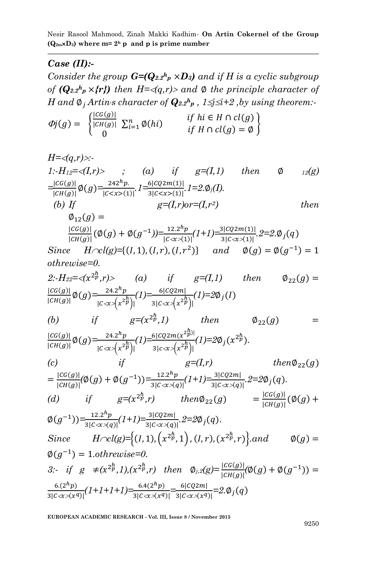#### *Case (II):-*

*Consider the group*  $G=(Q_{2.2}^h p \times D_3)$  *and if H is a cyclic subgroup of*  $(Q_{2.2}h_p \times \{r\})$  then  $H = \langle q, r \rangle$  and  $\phi$  the principle character of *H* and  $\emptyset$ <sub>*i*</sub> Artin<sub>s</sub> character of  $\mathbf{Q}_{2,2}$ <sup>*h*</sup><sub>*p*</sub>,  $1 \leq j \leq i+2$ , *by using theorem:* 

$$
\varPhi j(g) = \begin{cases}\n\frac{|C G(g)|}{|CH(g)|} \sum_{i=1}^n \varphi(hi) & \text{if } h \in H \cap cl(g) \\
0 & \text{if } H \cap cl(g) = \varnothing\n\end{cases}
$$

$$
H = \langle q, r \rangle \rangle
$$
  
\n1:-*H*<sub>12</sub>=< $\langle I, r \rangle$   $\rangle$   $\langle a \rangle$  *if*  $g=(I,1)$  *then*  $\emptyset$  *12(g)*  
\n
$$
\frac{|cG(g)|}{|CH(g)|} \emptyset(g) = \frac{242^h p}{|C \langle x \rangle(1)|}, I = \frac{6|CQ2m(1)|}{3|C \langle x \rangle(1)|}, I = 2, \emptyset_j(I).
$$
  
\n(b) If  $g=(I, r) \text{ or } = (I, r^2)$  *then*  
\n
$$
\emptyset_{12}(g) = \frac{|CG(g)|}{|CH(g)|} (\emptyset(g) + \emptyset(g^{-1})) = \frac{12.2^h p}{|C \langle x \rangle(1)|} (1+I) = \frac{3|CQ2m(1)|}{3|C \langle x \rangle(1)|}, 2=2, \emptyset_j(q)
$$

*Since*  $H \cap \mathcal{C}(g) = \{(I, 1), (I, r), (I, r^2)\}$  and  $\phi(g) = \phi(g^{-1}) =$ *othrewise=0.*

2: 
$$
H_{22} = \langle x^{2p}, r \rangle
$$
 (a) if  $g=(I,1)$  then  $\emptyset_{22}(g) = \frac{|cG(g)|}{|CH(g)|} \emptyset(g) = \frac{24.2^h p}{|C\langle x \rangle(x^{2p})|} (1) = \frac{6|CQ2m|}{3|C\langle x \rangle(x^{2p})|} (1) = 2\emptyset_j(I)$ 

(b) if 
$$
g=(x^{2p} \cdot 1)
$$
 then  $\Phi_{22}(g) = \frac{|cG(g)|}{|cH(g)|} \phi(g) = \frac{24.2^h p}{|c \cdot x \cdot (x^{2p})|} (1) = \frac{6|cQ2m(x^{2p})|}{3|c \cdot x \cdot (x^{2p})|} (1) = 2\phi_j(x^{2p}).$   
(c) if  $g=(I,r)$  then  $\phi_{22}(g)$ 

$$
\begin{aligned}\n\text{(c)} \quad & \text{therefore} \quad \text{where} \quad \mathcal{L}_{22}(g) \\
&= \frac{|C G(g)|}{|CH(g)|} (\emptyset(g) + \emptyset(g^{-1})) = \frac{12.2^h p}{3|C \ll (q)|} (1+1) = \frac{3|CQ2m|}{3|C \ll (q)|}, \quad 2 = 2\emptyset_j(q). \\
\text{(d)} \quad & \text{if} \quad g = (x^{2h}, r) \quad \text{then} \quad \mathcal{D}_{22}(g) \quad = \frac{|C G(g)|}{|CH(g)|} (\emptyset(g) + \mathcal{D}_{22}(g))\n\end{aligned}
$$

$$
\varnothing(g^{-1})) = \frac{12.2^h p}{3|c \propto (q)|} (1+1) = \frac{3|c \varnothing m|}{3|c \propto (q)|}, 2 = 2\varnothing_j(q).
$$
  
Since  $H \cap cl(g) = \{(I, 1), (x^{2p}, 1), (I, r), (x^{2p}, r)\}.$  and  $\varnothing(g) =$ 

$$
\emptyset(g^{-1}) = 1. \text{otherwise=0.}
$$
\n
$$
3: \text{ if } g \neq (x^{2p}, 1), (x^{2p}, r) \text{ then } \emptyset_{j,2}(g) = \frac{|cG(g)|}{|CH(g)|} (\emptyset(g) + \emptyset(g^{-1})) =
$$
\n
$$
\frac{6.(2^h p)}{3|C \ll (x^{q})|} (1+1+1+1) = \frac{6.4(2^h p)}{3|C \ll (x^{q})|} = \frac{6|CQ2m|}{3|C \ll (x^{q})|} = 2. \emptyset_j(q)
$$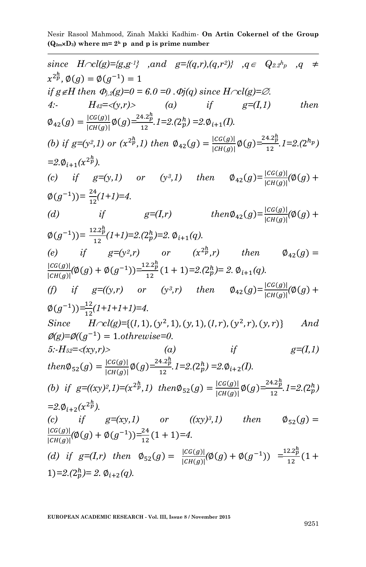Nesir Rasool Mahmood, Zinah Makki Kadhim*-* **On Artin Cokernel of the Group**  $(Q_{2m} \times D_3)$  where  $m = 2<sup>h</sup>$  p and p is prime number

| since $H \cap cl(g) = \{g, g^{-1}\}\$ , and $g = \{(q, r), (q, r^2)\}\$ , $q \in Q_{2,2}h_p$ , $q \neq$                         |
|---------------------------------------------------------------------------------------------------------------------------------|
| $x^{2p}, \emptyset(g) = \emptyset(g^{-1}) = 1$                                                                                  |
| if $g \notin H$ then $\Phi_{j,2}(g)=0=6.0=0$ . $\Phi_{j}(q)$ since $H \cap cl(g)=\varnothing$ .                                 |
| $H_{42} = \langle y, r \rangle$ (a) if<br>$g=(I,1)$<br>then<br>4:                                                               |
| $\emptyset_{42}(g) = \frac{ cG(g) }{ cH(g) } \emptyset(g) = \frac{24.2_p^h}{12}. I = 2.(2_p^h) = 2.\emptyset_{i+1}(I).$         |
| (b) if $g=(y^2,1)$ or $(x^{2p},1)$ then $\phi_{42}(g) = \frac{ cc(g) }{ CH(g) } \phi(g) = \frac{24.2p}{12}.1=2.(2^{h_p})$       |
| $=2.\phi_{i+1}(x^{2p}).$                                                                                                        |
| (c) if $g=(y,1)$ or $(y^3,1)$ then $\phi_{42}(g) = \frac{ CG(g) }{ CH(g) }(\phi(g) +$                                           |
| $\emptyset(g^{-1})) = \frac{24}{12}(1+1) = 4.$                                                                                  |
| if $g=(I,r)$ $then \emptyset_{42}(g) = \frac{ CG(g) }{ CH(g) }(\emptyset(g) +$<br>(d)                                           |
| $\emptyset(g^{-1})) = \frac{12.2_p^h}{12}(1+1) = 2 \cdot (2_p^h) = 2 \cdot \emptyset_{i+1}(q).$                                 |
| $g=(y^2,r)$ or $(x^{2p}r)$ then $\emptyset_{42}(g) =$<br>$(e)$ if                                                               |
| $\frac{ cG(g) }{ cH(g) }(\phi(g) + \phi(g^{-1})) = \frac{12.2_p^h}{12}(1+1) = 2.(2_p^h) = 2.\ \phi_{i+1}(q).$                   |
| (f) if $g = ((y,r)$ or $(y^3,r)$ then $\phi_{42}(g) = \frac{ CG(g) }{ CH(g) }(\phi(g) +$                                        |
| $\emptyset(g^{-1})) = \frac{12}{12}(1+1+1+1)=4.$                                                                                |
| Since $H \cap cl(g) = \{(I, 1), (y^2, 1), (y, 1), (I, r), (y^2, r), (y, r)\}\$<br>And                                           |
| $\mathcal{O}(g)=\mathcal{O}((g^{-1})=1. \text{otherwise}=0.$                                                                    |
| if<br>$g=(I,1)$<br>5:- $H_{52} = \langle xy, r \rangle$<br>$\qquad \qquad (a)$                                                  |
| then $\Phi_{52}(g) = \frac{ cG(g) }{ cH(g) } \Phi(g) = \frac{24.2\frac{h}{p}}{12}$ , $1 = 2.(2\frac{h}{p}) = 2.\Phi_{i+2}(I)$ . |
| (b) if $g = ((xy)^2, 1) = (x^{2p}, 1)$ then $\phi_{52}(g) = \frac{ cc(g) }{ cH(g) } \phi(g) = \frac{24.2p}{12}$ . $1 = 2.(2p)$  |
| $=2.\phi_{i+2}(x^{2p}).$                                                                                                        |
| (c) if $g=(xy,1)$ or $((xy)^3,1)$ then $\emptyset_{52}(g)$ =                                                                    |
| $\frac{ cG(g) }{ cH(g) }(\phi(g) + \phi(g^{-1})) = \frac{24}{12}(1+1) = 4.$                                                     |
| (d) if $g=(I,r)$ then $\Phi_{52}(g) = \frac{ cG(g) }{ cH(g) }(\Phi(g) + \Phi(g^{-1})) = \frac{12.2_p^h}{12}(1 +$                |
| 1)=2.(2 $h$ )= 2. $\phi_{i+2}(q)$ .                                                                                             |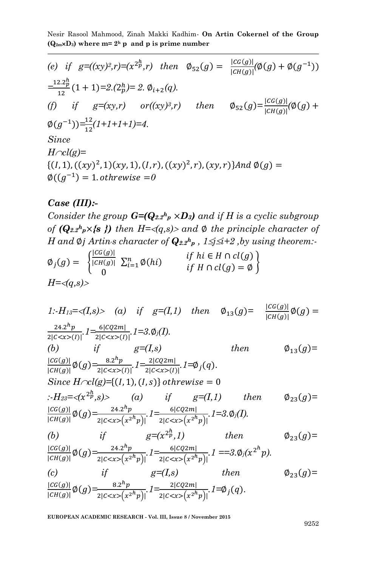\n- (e) if 
$$
g = ((xy)^2, r) = (x^2)^h
$$
, then  $\emptyset_{52}(g) = \frac{|CG(g)|}{|CH(g)|}(\emptyset(g) + \emptyset(g^{-1}))$
\n- $\frac{-12.2^h}{12}(1+1)=2.(2^h) = 2.\ \emptyset_{i+2}(q).$
\n- (f) if  $g = (xy, r)$  or  $((xy)^3, r)$  then  $\emptyset_{52}(g) = \frac{|CG(g)|}{|CH(g)|}(\emptyset(g) + \emptyset(g^{-1})) = \frac{12}{12}(1+1+1+1) = 4.$
\n- Since  $H \cap cl(g) = \{(I, 1), ((xy)^2, 1)(xy, 1), (I, r), ((xy)^2, r), (xy, r)\}$  and  $\emptyset(g) = \emptyset((g^{-1}) = 1. \text{ otherwise } = 0$
\n

### *Case (III):-*

*Consider the group*  $G=(Q_{2.2}^h p \times D_3)$  *and if H is a cyclic subgroup of*  $(Q_{2.2}h_p\times\{s\})$  then  $H=\langle q,s\rangle\rangle$  and  $\emptyset$  the principle character of *H* and  $\emptyset$ *j Artin<sub>i</sub>s character of*  $Q_{2.2}$ <sup>*h*</sup><sub>*p*</sub>,  $1 \le j \le i+2$  *,by using theorem:* 

$$
\emptyset_j(g) = \begin{cases}\n\frac{|C G(g)|}{|CH(g)|} \sum_{i=1}^n \emptyset(hi) & \text{if } h \in H \cap cl(g) \\
0 & \text{if } H \cap cl(g) = \emptyset\n\end{cases}
$$
\n
$$
H = \langle q, s \rangle
$$

1:-*H*<sub>13</sub>=
$$
\langle I,s \rangle
$$
 (a) if  $g=(I,1)$  then  $\emptyset_{13}(g) = \frac{|CG(g)|}{|CH(g)|}\emptyset(g) = \frac{24.2^h p}{2|C < x>(I)|}, 1 = \frac{6|CQ2m|}{2|C < x>(I)|}, 1 = 3. \emptyset_j(I).$   
\n(b) if  $g=(I,s)$  then  $\emptyset_{13}(g) = \frac{|CG(g)|}{|CH(g)|}\emptyset(g) = \frac{8.2^h p}{2|C < x>(I)|}, 1 = \emptyset_j(q).$   
\nSince  $H \cap cl(g) = \{(I, 1), (I, s)\}$  otherwise = 0  
\n $\therefore H_{23} = \langle x^{2h}, s \rangle$  (a) if  $g=(I,1)$  then  $\emptyset_{23}(g) = \frac{|CG(g)|}{|CH(g)|}\emptyset(g) = \frac{24.2^h p}{2|C < x>(x^{2h}p)|}, 1 = \frac{6|CQ2m|}{2|C < x>(x^{2h}p)|}, 1 = 3. \emptyset_j(I).$   
\n(b) if  $g=(x^{2h}, 1)$  then  $\emptyset_{23}(g) = \frac{|CG(g)|}{|CH(g)|}\emptyset(g) = \frac{24.2^h p}{2|C < x>(x^{2h}p)|}, 1 = \frac{6|CQ2m|}{2|C < x>(x^{2h}p)|}, 1 = 3. \emptyset_j(x^{2h}p).$   
\n(c) if  $g=(I,s)$  then  $\emptyset_{23}(g) = \frac{|CG(g)|}{|CH(g)|}\emptyset(g) = \frac{8.2^h p}{2|C < x>(x^{2h}p)|}, 1 = \frac{2|CQ2m|}{2|C < x>(x^{2h}p)|}, 1 = \emptyset_j(q).$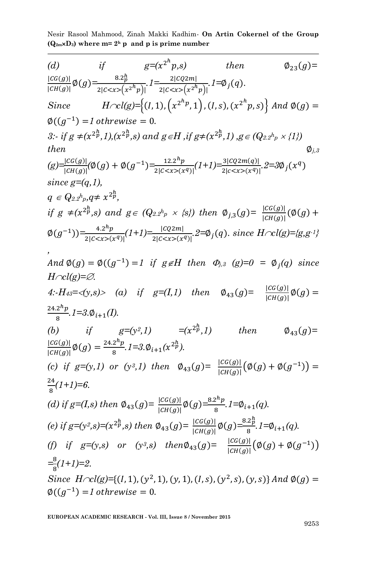(d) if 
$$
g=(x^2^h p,s)
$$
 then  $\Phi_{23}(g)=\frac{[cG(g)]}{[cH(g)]}\phi(g)-\frac{8.2\frac{h}{B}}{2[c  
\nSince  $H\sim cl(g)=\{(I,1), (x^{2^h p},1), (I,s), (x^{2^h p},s)\} \text{ and } \phi(g)=\phi((g^{-1})=I \text{ otherwise } = 0.$   
\n $\therefore$  if  $g \neq (x^{2^h},1), (x^{2^h}g)$  and  $g \in H$ , if  $g \neq (x^{2^h},1)$ ,  $g \in (Q_{2.2^h p} \times \{1\})$   
\nthen  $\phi_{j,s}$   
\n $(g)-\frac{[cG(g)]}{[cH(g)]}(\phi(g) + \phi(g^{-1})=\frac{12.2^h p}{2[c(x^q)]}(I+1)-\frac{3[cQ2m(g)]}{2[c(x^q)]} \cdot 2=3\phi_j(x^q)$   
\nsince  $g=(q,1)$ ,  
\n $q \in Q_{2.2^h p,q} \neq x^{2^h p}$ ,  
\nif  $g \neq (x^{2^h p},s)$  and  $g \in (Q_{2.2^h p} \times \{s\})$  then  $\phi_{j,3}(g) = \frac{|cG(g)|}{|cH(g)|}(\phi(g) + \phi(g^{-1}))=\frac{4.2^h p}{2[c(x^q)]}(I+1)=\frac{1[cQ2m]}{2[c(x^q)]} \cdot 2= \phi_j(q)$ . since  $H\sim cl(g)=[g,g^{-1}]$ ,  
\nAnd  $\phi(g) = \phi((g^{-1})=1$  if  $g \in H$  then  $\Phi_{j,3}(g)=0 = \phi_j(q)$  since  
\n $H\sim cl(g)=\emptyset$ .  
\n4:  $H_{43} = \langle y, s \rangle$  (a) if  $g=(I,1)$  then  $\phi_{43}(g) = \frac{|cG(g)|}{|cH(g)|}\phi(g) = \frac{1[cG(g)]}{|cH(g)|}\phi(g) = \frac{24.2^h p}{8}$$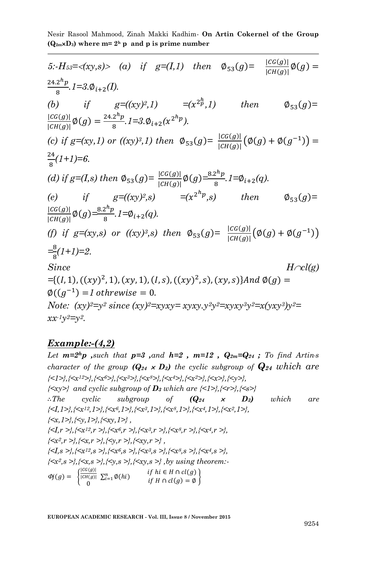5: 
$$
H_{53} = \langle xy, s \rangle
$$
 (a) if  $g=(I, I)$  then  $\emptyset_{53}(g) = \frac{|CG(g)|}{|CH(g)|}\emptyset(g) = \frac{24.2^h p}{8}. I = 3. \emptyset_{i+2}(I).$   
\n(b) if  $g = ((xy)^2, I) = (x^2^h, I)$  then  $\emptyset_{53}(g) = \frac{|CG(g)|}{|CH(g)|}\emptyset(g) = \frac{24.2^h p}{8}. I = 3. \emptyset_{i+2}(x^{2^h p}).$   
\n(c) if  $g = (xy, I)$  or  $((xy)^3, I)$  then  $\emptyset_{53}(g) = \frac{|CG(g)|}{|CH(g)|}(\emptyset(g) + \emptyset(g^{-1})) = \frac{24}{8}(I+1)=6.$   
\n(d) if  $g=(I,s)$  then  $\emptyset_{53}(g) = \frac{|CG(g)|}{|CH(g)|}\emptyset(g) = \frac{8.2^h p}{8}. I = \emptyset_{i+2}(q).$   
\n(e) if  $g = ((xy)^2, s) = (x^{2^h p}, s)$  then  $\emptyset_{53}(g) = \frac{|CG(g)|}{|CH(g)|}\emptyset(g) = \frac{8.2^h p}{8}. I = \emptyset_{i+2}(q).$   
\n(f) if  $g = (xy, s)$  or  $((xy)^3, s)$  then  $\emptyset_{53}(g) = \frac{|CG(g)|}{|CH(g)|}(\emptyset(g) + \emptyset(g^{-1})) = \frac{8}{8}(I+1)=2.$   
\nSince  $H \sim cl(g)$   
\n $=\{(I, 1), ((xy)^2, 1), (xy, 1), (I, s), ((xy)^2, s), (xy, s)\} \text{And } \emptyset(g) = \emptyset((g^{-1}) = 1 \text{ otherwise} = 0.$   
\nNote:  $(xy)^2=y^2 \text{ since } (xy)^2=xyxy-y^2y^2=xyxy^3y^2=x(yxy^3)y^2=x(yxy^3)y^2=x^2y^2.$ 

#### *Example:-(4,2)*

Let  $m=2^h p$  , such that  $p=3$  , and  $h=2$  ,  $m=12$  ,  $Q_{2m}=Q_{24}$ ; To find Artins *character of the group*  $(Q_{24} \times D_3)$  *the cyclic subgroup of*  $Q_{24}$  *which are {<1>},{<x12>},{<x6>},{<x3>},{<x8>},{<x4>},{<x2>},{<x>},{<y>},*  $\{\langle xy\rangle\}$  and cyclic subgroup of  $D_3$  which are  $\{\langle 1\rangle\}, \{\langle x\rangle\}, \{\langle s\rangle\}$  *The cyclic subgroup of (Q<sup>24</sup> D3) which are {<I,1>},{<x12,1>},{<x6,1>},{<x3,1>},{<x8,1>},{<x4,1>},{<x2,1>}, {<x,1>},{<y,1>},{<xy,1>} , {<I,r >},{<x12,r >},{<x6,r >},{<x3,r >},{<x8,r >},{<x4,r >}, {<x2,r >},{<x,r >},{<y,r >},{<xy,r >} , {<I,s >},{<x12,s >},{<x6,s >},{<x3,s >},{<x8,s >},{<x4,s >}, {<x2,s >},{<x,s >},{<y,s >},{<xy,s >} ,by using theorem:-*  $\phi_j(g) = \begin{cases} \frac{|CG(g)|}{|CH(g)|} \end{cases}$  $\frac{|CH(g)|}{0}$  $\sum_{i=1}^{n} \emptyset(hi)$  if  $hi \in H \cap cl(g)$ <br>if  $U \cap cl(g) = \emptyset$  $\begin{array}{ll} n \\ i=1 \end{array}$   $\emptyset$ (hi)  $\qquad \qquad if \ H \cap cl(g) = \emptyset$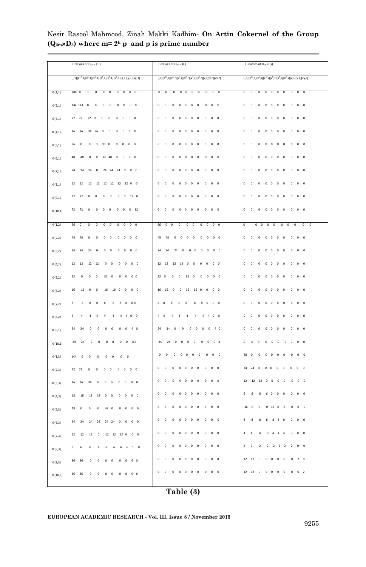|              | $\Gamma\text{-classes}$ of $\mathsf{Q}_{24}\times\{ \mathsf{1}\ \}$                                                       | $\Gamma\text{-classes of } \mathsf{Q}_{\mathsf{24}} \times \{\mathsf{r}\ \}$                                                                                   | $\Gamma\text{-classes}$ of $\mathsf{Q}_{24}\times\{\mathsf{s}\}$                                                                                                     |
|--------------|---------------------------------------------------------------------------------------------------------------------------|----------------------------------------------------------------------------------------------------------------------------------------------------------------|----------------------------------------------------------------------------------------------------------------------------------------------------------------------|
|              | $[1,1][x^{12},1][x^6,1][x^3,1][x^8,1][x^4,1][x^2,1][x,1][y,1][xy,1]$                                                      | $[1,r][x^{12},r][x^6,r][x^3,r][x^8,r][x^4,r][x^2,r][x,r][y,r][xy,r]$                                                                                           | $[1,5][x^{12},5][x^6,5][x^3,5][x^8,5][x^4,5][x^2,5][x,5][y,5][xy,5]$                                                                                                 |
| $\Phi(1,1)$  | 288 0<br>$\mathbf{0}$<br>$\overline{0}$<br>$\overline{0}$<br>$\circ$<br>$\mathbf{0}$<br>$\circ$<br>0 <sub>0</sub>         | $\overline{0}$<br>$\mathbf 0$<br>$\mathbf{0}$<br>$0\quad 0$<br>$\mathbf 0$<br>$\mathbf 0$<br>$\mathbf{0}$<br>$\mathbf{0}$<br>$\overline{0}$                    | $\mathbf 0$<br>$\mathbf{0}$<br>$\mathbf{0}$<br>$\circ$<br>$^{\circ}$<br>$\circ$<br>$\overline{0}$<br>$\mathbf{0}$<br>$0\quad 0$                                      |
| $\Phi(2,1)$  | 144 144<br>$\mathbf 0$<br>$\mathbf{0}$<br>$\mathbf{0}$<br>0<br>0<br>$\bf{0}$<br>$\circ$<br>$\overline{0}$                 | $\mathbf 0$<br>$\mathbf 0$<br>0<br>$\mathbf 0$<br>$\mathbf 0$<br>$\overline{0}$<br>$\bf{0}$<br>0<br>$\circ$<br>$\overline{0}$                                  | $\mathbf 0$<br>$\mathbf{0}$<br>$\bf{0}$<br>0<br>$\circ$<br>0<br>$\mathbf 0$<br>0<br>$\bf{0}$<br>$\overline{\phantom{a}}$                                             |
| $\Phi(3,1)$  | 72                                                                                                                        | $\mathbf 0$                                                                                                                                                    | $\mathbf 0$                                                                                                                                                          |
|              | 72                                                                                                                        | $\mathbf 0$                                                                                                                                                    | $\mathbf 0$                                                                                                                                                          |
|              | 72                                                                                                                        | $\mathbf 0$                                                                                                                                                    | $\mathbf 0$                                                                                                                                                          |
|              | $\overline{0}$                                                                                                            | $\mathbf{0}$                                                                                                                                                   | $\mathbf 0$                                                                                                                                                          |
|              | $\mathbf 0$                                                                                                               | $\overline{0}$                                                                                                                                                 | $\mathbf{0}$                                                                                                                                                         |
|              | $\mathbf 0$                                                                                                               | $\mathbf 0$                                                                                                                                                    | $\mathbf 0$                                                                                                                                                          |
|              | $\mathbf 0$                                                                                                               | $\overline{0}$                                                                                                                                                 | $\overline{0}$                                                                                                                                                       |
|              | $\Omega$                                                                                                                  | $\mathbf 0$                                                                                                                                                    | $\mathbf 0$                                                                                                                                                          |
|              | $\mathbf 0$                                                                                                               | $\mathbf{0}$                                                                                                                                                   | $\mathbf 0$                                                                                                                                                          |
|              | $\overline{0}$                                                                                                            | $\mathbf 0$                                                                                                                                                    | $\overline{0}$                                                                                                                                                       |
| $\Phi(4,1)$  | 36                                                                                                                        | $\bf{0}$                                                                                                                                                       | $\pmb{0}$                                                                                                                                                            |
|              | 36                                                                                                                        | $\mathbf 0$                                                                                                                                                    | $\mathbf 0$                                                                                                                                                          |
|              | 36                                                                                                                        | $\mathbf 0$                                                                                                                                                    | $\mathbf 0$                                                                                                                                                          |
|              | 36                                                                                                                        | $\mathbf{0}$                                                                                                                                                   | $\mathbf 0$                                                                                                                                                          |
|              | $\bf{0}$                                                                                                                  | $\mathbf 0$                                                                                                                                                    | $\mathbf 0$                                                                                                                                                          |
|              | $\bf{0}$                                                                                                                  | $\mathbf 0$                                                                                                                                                    | $\mathbf 0$                                                                                                                                                          |
|              | $\circ$                                                                                                                   | $\mathbf 0$                                                                                                                                                    | $\mathbf 0$                                                                                                                                                          |
|              | $\mathbf 0$                                                                                                               | $\bf{0}$                                                                                                                                                       | $\mathbf{0}$                                                                                                                                                         |
|              | $\pmb{0}$                                                                                                                 | $\pmb{0}$                                                                                                                                                      | $\pmb{0}$                                                                                                                                                            |
|              | $\mathbf 0$                                                                                                               | $\bf{0}$                                                                                                                                                       | $\bf{0}$                                                                                                                                                             |
| $\Phi(5,1)$  | 96                                                                                                                        | $\mathbf 0$                                                                                                                                                    | $\mathbf 0$                                                                                                                                                          |
|              | $\circ$                                                                                                                   | $\Omega$                                                                                                                                                       | $\Omega$                                                                                                                                                             |
|              | $\Omega$                                                                                                                  | $\Omega$                                                                                                                                                       | $\Omega$                                                                                                                                                             |
|              | $\Omega$                                                                                                                  | $\Omega$                                                                                                                                                       | $\Omega$                                                                                                                                                             |
|              | 96                                                                                                                        | $\mathbf 0$                                                                                                                                                    | $\Omega$                                                                                                                                                             |
|              | $\Omega$                                                                                                                  | $\Omega$                                                                                                                                                       | $\Omega$                                                                                                                                                             |
|              | $\Omega$                                                                                                                  | $\overline{0}$                                                                                                                                                 | $\Omega$                                                                                                                                                             |
|              | $\Omega$                                                                                                                  | $\mathbf 0$                                                                                                                                                    | $\circ$                                                                                                                                                              |
|              | $\overline{0}$                                                                                                            | $\mathbf{0}$                                                                                                                                                   | $\mathbf 0$                                                                                                                                                          |
|              | $\overline{0}$                                                                                                            | $\mathbf 0$                                                                                                                                                    | $\overline{0}$                                                                                                                                                       |
| $\Phi(6,1)$  | 48                                                                                                                        | $\bf{0}$                                                                                                                                                       | $\bf{0}$                                                                                                                                                             |
|              | 48                                                                                                                        | $\mathbf 0$                                                                                                                                                    | $\mathbf 0$                                                                                                                                                          |
|              | $\overline{0}$                                                                                                            | $\mathbf 0$                                                                                                                                                    | $\overline{0}$                                                                                                                                                       |
|              | $\Omega$                                                                                                                  | $\overline{0}$                                                                                                                                                 | $\circ$                                                                                                                                                              |
|              | 48                                                                                                                        | $\overline{0}$                                                                                                                                                 | $\overline{0}$                                                                                                                                                       |
|              | $\mathbf 0$                                                                                                               | $\mathbf 0$                                                                                                                                                    | $\circ$                                                                                                                                                              |
|              | $\mathbf 0$                                                                                                               | $\mathbf 0$                                                                                                                                                    | $\circ$                                                                                                                                                              |
|              | $\pmb{0}$                                                                                                                 | $\bf{0}$                                                                                                                                                       | $\mathbf{0}$                                                                                                                                                         |
|              | $\circ$                                                                                                                   | $\bf{0}$                                                                                                                                                       | $\mathbf 0$                                                                                                                                                          |
|              | 48                                                                                                                        | $\mathbf 0$                                                                                                                                                    | $\mathbf 0$                                                                                                                                                          |
| $\Phi(7,1)$  | 24                                                                                                                        | $\mathbf 0$                                                                                                                                                    | 0                                                                                                                                                                    |
|              | 24                                                                                                                        | $\mathbf 0$                                                                                                                                                    | $\mathbf 0$                                                                                                                                                          |
|              | 24                                                                                                                        | $\mathbf{0}$                                                                                                                                                   | $\mathbf{0}$                                                                                                                                                         |
|              | $\overline{0}$                                                                                                            | $\mathbf{0}$                                                                                                                                                   | $\mathbf 0$                                                                                                                                                          |
|              | 24                                                                                                                        | $\mathbf 0$                                                                                                                                                    | $\mathbf{0}$                                                                                                                                                         |
|              | 24                                                                                                                        | $\mathbf 0$                                                                                                                                                    | $\mathbf{0}$                                                                                                                                                         |
|              | 24                                                                                                                        | $\pmb{0}$                                                                                                                                                      | $\circ$                                                                                                                                                              |
|              | $\pmb{0}$                                                                                                                 | 0                                                                                                                                                              | $\mathbf{0}$                                                                                                                                                         |
|              | $\mathbf 0$                                                                                                               | $\pmb{0}$                                                                                                                                                      | $\pmb{0}$                                                                                                                                                            |
|              | $\mathbf 0$                                                                                                               | $\mathbf 0$                                                                                                                                                    | $\bf{0}$                                                                                                                                                             |
| $\Phi(8,1)$  | 12                                                                                                                        | $\pmb{0}$                                                                                                                                                      | 0                                                                                                                                                                    |
|              | $12$                                                                                                                      | $\pmb{0}$                                                                                                                                                      | $\pmb{0}$                                                                                                                                                            |
|              | 12                                                                                                                        | 0                                                                                                                                                              | $\bf{0}$                                                                                                                                                             |
|              | 12                                                                                                                        | 0                                                                                                                                                              | $\mathbf{0}$                                                                                                                                                         |
|              | $12\,$                                                                                                                    | $\mathbf{0}$                                                                                                                                                   | o                                                                                                                                                                    |
|              | $12\,$                                                                                                                    | $\bf{0}$                                                                                                                                                       | $\bf{0}$                                                                                                                                                             |
|              | $\pmb{0}$                                                                                                                 | 0                                                                                                                                                              | $\mathbf{0}$                                                                                                                                                         |
|              | $\,0\,$                                                                                                                   | $\pmb{0}$                                                                                                                                                      | $\bf{0}$                                                                                                                                                             |
|              | 12                                                                                                                        | $\mathbf{0}$                                                                                                                                                   | $\pmb{0}$                                                                                                                                                            |
|              | 12                                                                                                                        | $\mathbf{0}$                                                                                                                                                   | $\bf{0}$                                                                                                                                                             |
| $\Phi(9,1)$  | 72<br>72<br>$\mathbf 0$<br>$\mathbf{0}$<br>$\mathbf{0}$<br>$\mathbf{0}$<br>$\mathbf 0$<br>$\mathbf{0}$<br>12 <sub>0</sub> | $\pmb{0}$<br>$\mathbf 0$<br>$\mathbf 0$<br>$\mathbf 0$<br>$\mathbf 0$<br>$\mathbf 0$<br>$\mathbf 0$<br>$\mathbf{0}$<br>$\mathbf 0$<br>$\mathbf 0$              | $\mathbf{0}$<br>$\pmb{0}$<br>$\mathbf 0$<br>$\mathbf 0$<br>$\bf{0}$<br>$\mathbf{0}$<br>$\mathbf 0$<br>$\mathbf{0}$<br>$\mathbf 0$<br>$\pmb{0}$                       |
| $\Phi(10,1)$ | 72                                                                                                                        | $\pmb{0}$                                                                                                                                                      | 0                                                                                                                                                                    |
|              | 72                                                                                                                        | $\pmb{0}$                                                                                                                                                      | $\bf{0}$                                                                                                                                                             |
|              | $\mathbf{0}$                                                                                                              | 0                                                                                                                                                              | $\pmb{0}$                                                                                                                                                            |
|              | $\pmb{0}$                                                                                                                 | $\bf{0}$                                                                                                                                                       | $\mathbf{0}$                                                                                                                                                         |
|              | $\bf{0}$                                                                                                                  | $\pmb{0}$                                                                                                                                                      | $\pmb{0}$                                                                                                                                                            |
|              | $\pmb{0}$                                                                                                                 | $\pmb{0}$                                                                                                                                                      | $\pmb{0}$                                                                                                                                                            |
|              | 0                                                                                                                         | $\pmb{0}$                                                                                                                                                      | $\bf{0}$                                                                                                                                                             |
|              | $\pmb{0}$                                                                                                                 | $\pmb{0}$                                                                                                                                                      | $\bf{0}$                                                                                                                                                             |
|              | $\bf{0}$                                                                                                                  | $\pmb{0}$                                                                                                                                                      | $\pmb{0}$                                                                                                                                                            |
|              | $12$                                                                                                                      | $\bf{0}$                                                                                                                                                       | $\bf{0}$                                                                                                                                                             |
| $\Phi(1,2)$  | 96                                                                                                                        | 96                                                                                                                                                             | $\mathbf 0$                                                                                                                                                          |
|              | $\mathbf{0}$                                                                                                              | $\mathbf 0$                                                                                                                                                    | $\mathbf 0$                                                                                                                                                          |
|              | $\mathbf{0}$                                                                                                              | $\mathbf 0$                                                                                                                                                    | $\mathbf 0$                                                                                                                                                          |
|              | $\mathbf 0$                                                                                                               | $\mathbf 0$                                                                                                                                                    | $\mathbf 0$                                                                                                                                                          |
|              | $\mathbf 0$                                                                                                               | $\overline{0}$                                                                                                                                                 | $\mathbf 0$                                                                                                                                                          |
|              | $\mathbf 0$                                                                                                               | $\mathbf{0}$                                                                                                                                                   | $\mathbf 0$                                                                                                                                                          |
|              | $\mathbf 0$                                                                                                               | $\mathbf{0}$                                                                                                                                                   | $\mathbf{0}$                                                                                                                                                         |
|              | $\mathbf{0}$                                                                                                              | $\mathbf 0$                                                                                                                                                    | $\mathbf{0}$                                                                                                                                                         |
|              | $\mathbf 0$                                                                                                               | $\mathbf 0$                                                                                                                                                    | $^{\circ}$                                                                                                                                                           |
|              | $\mathbf 0$                                                                                                               | $^{\circ}$                                                                                                                                                     | $^{\circ}$                                                                                                                                                           |
| $\Phi(2,2)$  | 48                                                                                                                        | 48                                                                                                                                                             | $\mathbf 0$                                                                                                                                                          |
|              | $\circ$                                                                                                                   | 48                                                                                                                                                             | $\circ$                                                                                                                                                              |
|              | $\circ$                                                                                                                   | $\mathbf 0$                                                                                                                                                    | $\overline{0}$                                                                                                                                                       |
|              | $\mathbf 0$                                                                                                               | $\mathbf{0}$                                                                                                                                                   | $\overline{0}$                                                                                                                                                       |
|              | $\overline{0}$                                                                                                            | $\overline{0}$                                                                                                                                                 | $\overline{0}$                                                                                                                                                       |
|              | $\mathbf{0}$                                                                                                              | $\mathbf{0}$                                                                                                                                                   | $\mathbf 0$                                                                                                                                                          |
|              | $\overline{0}$                                                                                                            | $\overline{\phantom{0}}$                                                                                                                                       | $\overline{0}$                                                                                                                                                       |
|              | 48                                                                                                                        | $\mathbf 0$                                                                                                                                                    | $\mathbf 0$                                                                                                                                                          |
|              | $\mathbf 0$                                                                                                               | $\mathbf 0$                                                                                                                                                    | $\mathbf 0$                                                                                                                                                          |
|              | $\mathbf 0$                                                                                                               | $\mathbf 0$                                                                                                                                                    | $\overline{0}$                                                                                                                                                       |
| $\Phi(3,2)$  | $\mathbf{0}$                                                                                                              | $\overline{0}$                                                                                                                                                 | $\mathbf 0$                                                                                                                                                          |
|              | $\mathbf 0$                                                                                                               | $\mathbf 0$                                                                                                                                                    | $\mathbf 0$                                                                                                                                                          |
|              | 24                                                                                                                        | $\mathbf 0$                                                                                                                                                    | $\mathbf 0$                                                                                                                                                          |
|              | 24                                                                                                                        | $\overline{0}$                                                                                                                                                 | $\overline{0}$                                                                                                                                                       |
|              | 24                                                                                                                        | 24                                                                                                                                                             | $\mathbf 0$                                                                                                                                                          |
|              | $\mathbf 0$                                                                                                               | 24                                                                                                                                                             | $\mathbf 0$                                                                                                                                                          |
|              | $\mathbf 0$                                                                                                               | 24                                                                                                                                                             | $\overline{0}$                                                                                                                                                       |
|              | $\overline{0}$                                                                                                            | $\mathbf 0$                                                                                                                                                    | $^{\circ}$                                                                                                                                                           |
|              | $^{\circ}$                                                                                                                | $\mathbf 0$                                                                                                                                                    | $\mathbf 0$                                                                                                                                                          |
|              | $\overline{0}$                                                                                                            | $\mathbf 0$                                                                                                                                                    | $\mathbf 0$                                                                                                                                                          |
| $\Phi(4,2)$  | 12                                                                                                                        | $\overline{0}$                                                                                                                                                 | $\overline{0}$                                                                                                                                                       |
|              | 12                                                                                                                        | 12                                                                                                                                                             | $\mathbf 0$                                                                                                                                                          |
|              | $\mathbf 0$                                                                                                               | 12                                                                                                                                                             | $\overline{0}$                                                                                                                                                       |
|              | $\overline{0}$                                                                                                            | 12                                                                                                                                                             | $\overline{0}$                                                                                                                                                       |
|              | $\mathbf 0$                                                                                                               | 12                                                                                                                                                             | $\mathbf 0$                                                                                                                                                          |
|              | $\mathbf{0}$                                                                                                              | $\mathbf 0$                                                                                                                                                    | $\overline{0}$                                                                                                                                                       |
|              | $\mathbf{0}$                                                                                                              | $\mathbf 0$                                                                                                                                                    | $\mathbf 0$                                                                                                                                                          |
|              | $\overline{0}$                                                                                                            | $\mathbf 0$                                                                                                                                                    | $\mathbf 0$                                                                                                                                                          |
|              | 12                                                                                                                        | $\circ$                                                                                                                                                        | $\mathbf 0$                                                                                                                                                          |
|              | 12                                                                                                                        | $\mathbf 0$                                                                                                                                                    | $\mathbf 0$                                                                                                                                                          |
| $\Phi(5,2)$  | $\circ$<br>0 <sub>0</sub><br>32<br>$\mathbf 0$<br>$\mathbf 0$<br>$\overline{0}$<br>32<br>$\mathbf{0}$<br>$\mathbf 0$      | $\overline{0}$<br>$\overline{0}$<br>32<br>$\mathbf 0$<br>$\overline{0}$<br>$\mathbf{0}$<br>$\overline{\phantom{0}}$<br>32<br>$\mathbf 0$<br>$\mathbf 0$        | $\mathbf{0}$<br>$\mathbf 0$<br>$\mathbf 0$<br>$\mathbf 0$<br>$\mathbf{0}$<br>$\mathbf 0$<br>$\mathbf 0$<br>$\overline{0}$<br>$\mathbf 0$<br>$\mathbf 0$              |
| $\Phi(6,2)$  | 16<br>16<br>$\mathbf 0$<br>$\circ$<br>16<br>16<br>$\mathbf 0$<br>$\bf{0}$<br>$0\quad 0$                                   | $\overline{0}$<br>16<br>16<br>$\mathbf 0$<br>$\mathbf 0$<br>16<br>16<br>$\overline{0}$<br>$\bf{0}$<br>$\pmb{0}$                                                | $\mathbf 0$<br>$\mathbf 0$<br>$\mathbf 0$<br>$\mathbf 0$<br>$\mathbf{0}$<br>$\mathbf 0$<br>$\overline{0}$<br>$\mathbf 0$<br>$\pmb{0}$<br>$\mathbf 0$                 |
| $\Phi(7,2)$  | $\mathbf{\hat{z}}$<br>$\mathbf{\hat{z}}$<br>8<br>$\Omega$<br>$\mathbf{\hat{z}}$<br>$\circ$<br>0 <sup>0</sup><br>8<br>8    | 8<br>8<br>8<br>$\circ$<br>$\overline{\mathbf{x}}$<br>8<br>$\mathbf 0$<br>$\mathbf 0$<br>$\overline{0}$<br>8                                                    | $\mathbf 0$<br>$\mathbf 0$<br>$\overline{0}$<br>$\mathbf 0$<br>$\mathbf 0$<br>$\overline{0}$<br>$\circ$<br>$\overline{0}$<br>$\mathbf 0$<br>$\overline{0}$           |
| $\Phi(8,2)$  | 4<br>4<br>4<br>4<br>$\ddot{a}$<br>$\overline{0}$<br>$\overline{0}$<br>$\Lambda$<br>4                                      | $\overline{\mathbf{0}}$<br>$\overline{4}$<br>$\overline{4}$<br>4<br>$\overline{4}$<br>$\mathbf 0$<br>Λ<br>$\overline{a}$<br>Λ<br>Δ                             | $\overline{0}$<br>$\mathbf 0$<br>$\mathbf 0$<br>$\overline{0}$<br>$\mathbf 0$<br>$\overline{0}$<br>$\overline{0}$<br>$^{\circ}$<br>$\mathbf 0$<br>$\bf{0}$           |
| $\Phi(9,1)$  | 24<br>24<br>$\Omega$<br>$\Omega$<br>$\Omega$<br>$\Omega$<br>$\mathbf 0$<br>$\mathbf 0$<br>40                              | 24<br>24<br>$\mathbf 0$<br>$\mathbf 0$<br>$\Omega$<br>$\Omega$<br>$\Omega$<br>$\mathbf 0$<br>40                                                                | $\mathbf 0$<br>$\Omega$<br>$\Omega$<br>$\mathbf 0$<br>$\Omega$<br>$\Omega$<br>$\overline{0}$<br>$\overline{0}$<br>$\mathbf 0$<br>$\overline{0}$                      |
| $\Phi(10,1)$ | 24<br>24<br>$\mathbf 0$<br>$\overline{0}$<br>$\mathbf 0$<br>$\overline{0}$<br>$\mathbf 0$<br>$\mathbf 0$<br>04            | 24<br>24<br>$\mathfrak{a}$<br>$\overline{0}$<br>$\mathbf 0$<br>$\mathbf 0$<br>$\circ$<br>$\pmb{0}$<br>$\bf 0$<br>$\overline{4}$                                | $\bf{0}$<br>$\overline{0}$<br>$\overline{0}$<br>$\circ$<br>$\circ$<br>$\mathbf{0}$<br>$\bf 0$<br>$\mathbf 0$<br>$\Omega$<br>$\Omega$                                 |
| $\Phi(1,3)$  | 144<br>$\mathbf{0}$<br>$\mathbf{0}$<br>$\bf{0}$<br>0<br>o<br>$\pmb{0}$<br>$\pmb{0}$                                       | $\mathbf 0$<br>$\mathbf 0$<br>$\mathbf 0$<br>$\overline{0}$<br>$\mathbf 0$<br>$\overline{0}$<br>$\mathbf 0$<br>$\mathbf 0$<br>$\overline{0}$<br>$\overline{0}$ | 48<br>$\Omega$<br>$\Omega$<br>$\overline{0}$<br>$\Omega$<br>$\Omega$<br>$\mathbf 0$<br>$\mathbf{0}$<br>$\mathbf 0$<br>$\mathbf{0}$                                   |
| $\Phi(2,3)$  | 72                                                                                                                        | $\mathbf 0$                                                                                                                                                    | 24                                                                                                                                                                   |
|              | 72                                                                                                                        | $\mathbf 0$                                                                                                                                                    | 24                                                                                                                                                                   |
|              | $\overline{0}$                                                                                                            | $\mathbf 0$                                                                                                                                                    | $\mathbf 0$                                                                                                                                                          |
|              | $\overline{0}$                                                                                                            | $\mathbf{0}$                                                                                                                                                   | $\bf{0}$                                                                                                                                                             |
|              | $\overline{0}$                                                                                                            | $\mathbf 0$                                                                                                                                                    | $\mathbf 0$                                                                                                                                                          |
|              | $\mathbf{0}$                                                                                                              | $\mathbf 0$                                                                                                                                                    | $\mathbf 0$                                                                                                                                                          |
|              | $\mathbf 0$                                                                                                               | $\mathbf 0$                                                                                                                                                    | $\mathbf 0$                                                                                                                                                          |
|              | $\mathbf{0}$                                                                                                              | $\mathbf 0$                                                                                                                                                    | $\bf{0}$                                                                                                                                                             |
|              | $\mathbf 0$                                                                                                               | $\bf{0}$                                                                                                                                                       | $\pmb{0}$                                                                                                                                                            |
|              | $\overline{0}$                                                                                                            | $\bf{0}$                                                                                                                                                       | $\mathbf 0$                                                                                                                                                          |
| $\Phi(3,3)$  | 36                                                                                                                        | $\pmb{0}$                                                                                                                                                      | 12                                                                                                                                                                   |
|              | 36                                                                                                                        | $\mathbf 0$                                                                                                                                                    | 12                                                                                                                                                                   |
|              | 36                                                                                                                        | $\bf{0}$                                                                                                                                                       | 12                                                                                                                                                                   |
|              | $\mathbf{0}$                                                                                                              | $\mathbf 0$                                                                                                                                                    | $\pmb{0}$                                                                                                                                                            |
|              | $\bf{0}$                                                                                                                  | $\mathbf 0$                                                                                                                                                    | $\mathbf 0$                                                                                                                                                          |
|              | $\bf{0}$                                                                                                                  | $\mathbf 0$                                                                                                                                                    | o                                                                                                                                                                    |
|              | $\bf{0}$                                                                                                                  | $\mathbf{0}$                                                                                                                                                   | $\mathbf 0$                                                                                                                                                          |
|              | $\pmb{0}$                                                                                                                 | $\mathbf{0}$                                                                                                                                                   | $\bf{0}$                                                                                                                                                             |
|              | $\pmb{0}$                                                                                                                 | $\pmb{0}$                                                                                                                                                      | $\pmb{0}$                                                                                                                                                            |
|              | $\bf{0}$                                                                                                                  | $\mathbf 0$                                                                                                                                                    | $\pmb{0}$                                                                                                                                                            |
| $\Phi(4,3)$  | $\pmb{0}$                                                                                                                 | $\mathbf 0$                                                                                                                                                    | 6                                                                                                                                                                    |
|              | $\pmb{0}$                                                                                                                 | $\mathbf 0$                                                                                                                                                    | 6                                                                                                                                                                    |
|              | $\,$ 0 $\,$                                                                                                               | $\mathbf 0$                                                                                                                                                    | 6                                                                                                                                                                    |
|              | 18                                                                                                                        | $\mathbf 0$                                                                                                                                                    | 6                                                                                                                                                                    |
|              | 18                                                                                                                        | $\mathbf 0$                                                                                                                                                    | $\bf{0}$                                                                                                                                                             |
|              | 18                                                                                                                        | $\mathbf 0$                                                                                                                                                    | $\mathbf 0$                                                                                                                                                          |
|              | 18                                                                                                                        | $\mathbf 0$                                                                                                                                                    | $\circ$                                                                                                                                                              |
|              | $\mathbf{0}$                                                                                                              | $\bf{0}$                                                                                                                                                       | $\circ$                                                                                                                                                              |
|              | $\mathbf{0}$                                                                                                              | $\pmb{0}$                                                                                                                                                      | $\pmb{0}$                                                                                                                                                            |
|              | $\bf{0}$                                                                                                                  | $\mathbf 0$                                                                                                                                                    | $\circ$                                                                                                                                                              |
| $\Phi(5,3)$  | 48                                                                                                                        | $\pmb{0}$                                                                                                                                                      | $16\,$                                                                                                                                                               |
|              | $\mathbf{0}$                                                                                                              | $\mathbf 0$                                                                                                                                                    | $\pmb{0}$                                                                                                                                                            |
|              | $\overline{0}$                                                                                                            | $\bf{0}$                                                                                                                                                       | $\mathbf 0$                                                                                                                                                          |
|              | $\overline{0}$                                                                                                            | $\bf{0}$                                                                                                                                                       | $\bf{0}$                                                                                                                                                             |
|              | 48                                                                                                                        | $\mathbf 0$                                                                                                                                                    | 16                                                                                                                                                                   |
|              | $\overline{0}$                                                                                                            | $\mathbf 0$                                                                                                                                                    | $\pmb{0}$                                                                                                                                                            |
|              | $\overline{0}$                                                                                                            | $\mathbf 0$                                                                                                                                                    | $\bf{0}$                                                                                                                                                             |
|              | $\pmb{0}$                                                                                                                 | 0                                                                                                                                                              | $\mathbf 0$                                                                                                                                                          |
|              | $\bf{0}$                                                                                                                  | $\mathbf 0$                                                                                                                                                    | $\mathbf 0$                                                                                                                                                          |
|              | $\,$ 0                                                                                                                    | $\pmb{0}$                                                                                                                                                      | $\pmb{0}$                                                                                                                                                            |
| $\Phi(6,3)$  | 24                                                                                                                        | $\pmb{0}$                                                                                                                                                      | 8                                                                                                                                                                    |
|              | $\pmb{0}$                                                                                                                 | $\pmb{0}$                                                                                                                                                      | $\mathbf{0}$                                                                                                                                                         |
|              | $\mathbf 0$                                                                                                               | $\mathbf 0$                                                                                                                                                    | $\bf{0}$                                                                                                                                                             |
|              | $\,0\,$                                                                                                                   | $\overline{0}$                                                                                                                                                 | $\pmb{0}$                                                                                                                                                            |
|              | 24                                                                                                                        | 0                                                                                                                                                              | $\bf{0}$                                                                                                                                                             |
|              | 24                                                                                                                        | $\mathbf{0}$                                                                                                                                                   | 8                                                                                                                                                                    |
|              | 24                                                                                                                        | $\bf{0}$                                                                                                                                                       | 8                                                                                                                                                                    |
|              | 24                                                                                                                        | 0                                                                                                                                                              | 8                                                                                                                                                                    |
|              | 24                                                                                                                        | $\pmb{0}$                                                                                                                                                      | 8                                                                                                                                                                    |
|              | $\mathbf 0$                                                                                                               | $\pmb{0}$                                                                                                                                                      | 8                                                                                                                                                                    |
| $\Phi(7,3)$  | 12                                                                                                                        | $\mathbf 0$                                                                                                                                                    | $\overline{a}$                                                                                                                                                       |
|              | 12                                                                                                                        | $\mathbf 0$                                                                                                                                                    | $\overline{a}$                                                                                                                                                       |
|              | 12                                                                                                                        | $\mathbf 0$                                                                                                                                                    | $\mathbf{0}$                                                                                                                                                         |
|              | 12                                                                                                                        | $\mathbf 0$                                                                                                                                                    | $\pmb{0}$                                                                                                                                                            |
|              | 12                                                                                                                        | $\mathbf 0$                                                                                                                                                    | $\mathbf 0$                                                                                                                                                          |
|              | $12\,$                                                                                                                    | $\mathbf 0$                                                                                                                                                    | 4                                                                                                                                                                    |
|              | $\pmb{0}$                                                                                                                 | $\mathbf 0$                                                                                                                                                    | 4                                                                                                                                                                    |
|              | $\pmb{0}$                                                                                                                 | $\bf{0}$                                                                                                                                                       | $\mathbf 0$                                                                                                                                                          |
|              | $\bf{0}$                                                                                                                  | $\bf{0}$                                                                                                                                                       | 4                                                                                                                                                                    |
|              | $\mathbf{0}$                                                                                                              | $\bf{0}$                                                                                                                                                       | 4                                                                                                                                                                    |
| $\Phi(8,3)$  | 6<br>$\bf 0$<br>$\mathbf{0}$<br>6<br>6<br>6<br>6<br>6<br>6<br>6                                                           | $\mathbf{0}$<br>$\mathbf 0$<br>0<br>$\overline{0}$<br>$\bf{0}$<br>0<br>$\pmb{0}$<br>$\mathbf{0}$<br>o<br>$\overline{0}$                                        | $\overline{\mathbf{c}}$<br>$\overline{a}$<br>$\pmb{0}$<br>$\bf{0}$<br>$\overline{2}$<br>$\overline{\phantom{a}}$<br><sup>2</sup><br>$\overline{2}$<br>$\overline{a}$ |
| $\Phi(9,3)$  | $\mathbf{0}$                                                                                                              | $\bf{0}$                                                                                                                                                       | $12$                                                                                                                                                                 |
|              | $\mathbf{0}$                                                                                                              | o                                                                                                                                                              | $\mathbf{0}$                                                                                                                                                         |
|              | $\mathbf{0}$                                                                                                              | $\mathbf 0$                                                                                                                                                    | $\mathbf 0$                                                                                                                                                          |
|              | 36                                                                                                                        | 0                                                                                                                                                              | 12                                                                                                                                                                   |
|              | 36                                                                                                                        | $\bf{0}$                                                                                                                                                       | $\mathbf 0$                                                                                                                                                          |
|              | $\bf{0}$                                                                                                                  | $\mathbf{0}$                                                                                                                                                   | $\mathbf 0$                                                                                                                                                          |
|              | $\mathbf{0}$                                                                                                              | $\mathbf 0$                                                                                                                                                    | $\mathbf 0$                                                                                                                                                          |
|              | $\mathbf{0}$                                                                                                              | $\mathbf 0$                                                                                                                                                    | $\bf{0}$                                                                                                                                                             |
|              | $\mathbf{0}$                                                                                                              | $\mathbf 0$                                                                                                                                                    | $\bf{0}$                                                                                                                                                             |
|              | $\mathsf{6}$                                                                                                              | $\mathbf 0$                                                                                                                                                    | $\overline{\mathbf{2}}$                                                                                                                                              |
| $\Phi(10,3)$ | 36<br>$\bf{0}$<br>$\overline{0}$<br>$\pmb{0}$<br>0<br>$\pmb{0}$<br>$\pmb{0}$<br>0 <sub>6</sub><br>36                      | $\pmb{0}$<br>$\mathbf 0$<br>$\mathbf 0$<br>$\pmb{0}$<br>$\mathbf 0$<br>$\pmb{0}$<br>$\pmb{0}$<br>$\bf{0}$<br>$\bf{0}$<br>$\bf{0}$                              | $12\,$<br>$12\,$<br>$\mathbf 0$<br>$\pmb{0}$<br>$\pmb{0}$<br>$\pmb{0}$<br>$\mathbf 0$<br>$\overline{\phantom{a}}$<br>$\bf{0}$<br>$\bf{0}$                            |
|              |                                                                                                                           |                                                                                                                                                                |                                                                                                                                                                      |

**Table (3)**